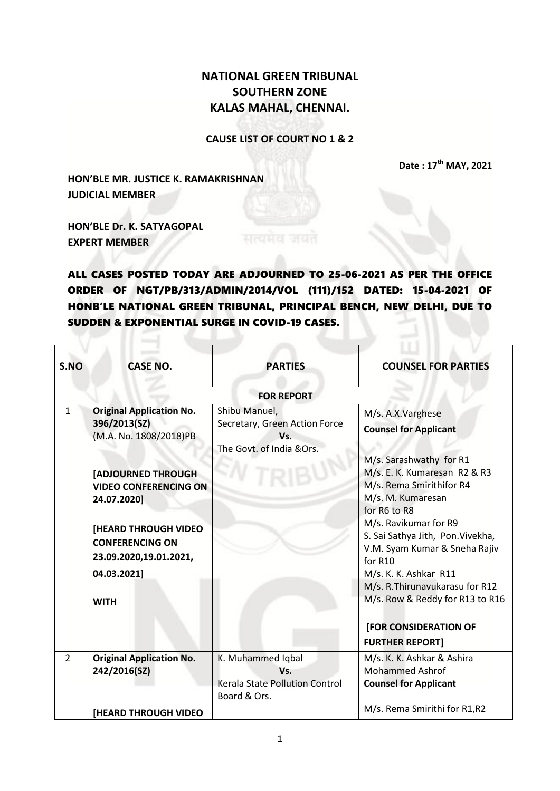## **NATIONAL GREEN TRIBUNAL SOUTHERN ZONE KALAS MAHAL, CHENNAI.**

## **CAUSE LIST OF COURT NO 1 & 2**

**Date : 17th MAY, 2021**

**HON'BLE MR. JUSTICE K. RAMAKRISHNAN JUDICIAL MEMBER**

**HON'BLE Dr. K. SATYAGOPAL EXPERT MEMBER**

ALL CASES POSTED TODAY ARE ADJOURNED TO 25-06-2021 AS PER THE OFFICE ORDER OF NGT/PB/313/ADMIN/2014/VOL (111)/152 DATED: 15-04-2021 OF HONB'LE NATIONAL GREEN TRIBUNAL, PRINCIPAL BENCH, NEW DELHI, DUE TO SUDDEN & EXPONENTIAL SURGE IN COVID-19 CASES.

| S.NO           | <b>CASE NO.</b>                                                                 | <b>PARTIES</b>                                                                     | <b>COUNSEL FOR PARTIES</b>                                                                             |
|----------------|---------------------------------------------------------------------------------|------------------------------------------------------------------------------------|--------------------------------------------------------------------------------------------------------|
|                |                                                                                 | <b>FOR REPORT</b>                                                                  |                                                                                                        |
| $\mathbf{1}$   | <b>Original Application No.</b><br>396/2013(SZ)<br>(M.A. No. 1808/2018)PB       | Shibu Manuel,<br>Secretary, Green Action Force<br>Vs.<br>The Govt. of India & Ors. | M/s. A.X.Varghese<br><b>Counsel for Applicant</b><br>M/s. Sarashwathy for R1                           |
|                | [ADJOURNED THROUGH<br><b>VIDEO CONFERENCING ON</b><br>24.07.2020]               |                                                                                    | M/s. E. K. Kumaresan R2 & R3<br>M/s. Rema Smirithifor R4<br>M/s. M. Kumaresan<br>for R6 to R8          |
|                | <b>[HEARD THROUGH VIDEO</b><br><b>CONFERENCING ON</b><br>23.09.2020,19.01.2021, |                                                                                    | M/s. Ravikumar for R9<br>S. Sai Sathya Jith, Pon. Vivekha,<br>V.M. Syam Kumar & Sneha Rajiv<br>for R10 |
|                | 04.03.2021]                                                                     |                                                                                    | M/s. K. K. Ashkar R11<br>M/s. R. Thirunavukarasu for R12                                               |
|                | <b>WITH</b>                                                                     |                                                                                    | M/s. Row & Reddy for R13 to R16                                                                        |
|                |                                                                                 |                                                                                    | [FOR CONSIDERATION OF                                                                                  |
|                |                                                                                 |                                                                                    | <b>FURTHER REPORT]</b>                                                                                 |
| $\overline{2}$ | <b>Original Application No.</b><br>242/2016(SZ)                                 | K. Muhammed Iqbal<br>Vs.<br>Kerala State Pollution Control<br>Board & Ors.         | M/s. K. K. Ashkar & Ashira<br><b>Mohammed Ashrof</b><br><b>Counsel for Applicant</b>                   |
|                | <b>[HEARD THROUGH VIDEO</b>                                                     |                                                                                    | M/s. Rema Smirithi for R1,R2                                                                           |